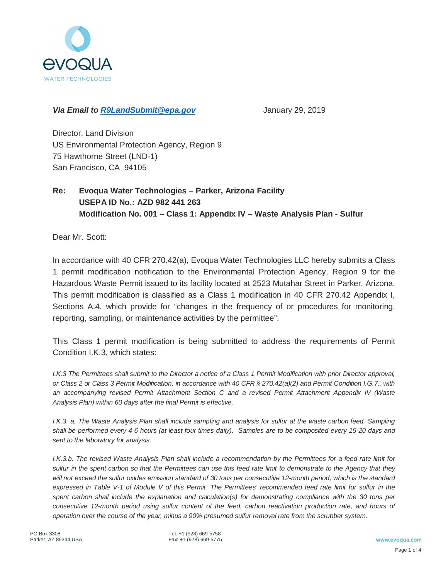

### *Via Email to R9LandSubmit@epa.gov* January 29, 2019

Director, Land Division US Environmental Protection Agency, Region 9 75 Hawthorne Street (LND-1) San Francisco, CA 94105

### **Re: Evoqua Water Technologies – Parker, Arizona Facility USEPA ID No.: AZD 982 441 263 Modification No. 001 – Class 1: Appendix IV – Waste Analysis Plan - Sulfur**

Dear Mr. Scott:

In accordance with 40 CFR 270.42(a), Evoqua Water Technologies LLC hereby submits a Class 1 permit modification notification to the Environmental Protection Agency, Region 9 for the Hazardous Waste Permit issued to its facility located at 2523 Mutahar Street in Parker, Arizona. This permit modification is classified as a Class 1 modification in 40 CFR 270.42 Appendix I, Sections A.4. which provide for "changes in the frequency of or procedures for monitoring, reporting, sampling, or maintenance activities by the permittee".

This Class 1 permit modification is being submitted to address the requirements of Permit Condition I.K.3, which states:

*I.K.3 The Permittees shall submit to the Director a notice of a Class 1 Permit Modification with prior Director approval, or Class 2 or Class 3 Permit Modification, in accordance with 40 CFR § 270.42(a)(2) and Permit Condition I.G.7., with an accompanying revised Permit Attachment Section C and a revised Permit Attachment Appendix IV (Waste Analysis Plan) within 60 days after the final Permit is effective.*

*I.K.3. a. The Waste Analysis Plan shall include sampling and analysis for sulfur at the waste carbon feed. Sampling shall be performed every 4-6 hours (at least four times daily). Samples are to be composited every 15-20 days and sent to the laboratory for analysis.*

*I.K.3.b. The revised Waste Analysis Plan shall include a recommendation by the Permittees for a feed rate limit for sulfur in the spent carbon so that the Permittees can use this feed rate limit to demonstrate to the Agency that they will not exceed the sulfur oxides emission standard of 30 tons per consecutive 12-month period, which is the standard expressed in Table V-1 of Module V of this Permit. The Permittees' recommended feed rate limit for sulfur in the spent carbon shall include the explanation and calculation(s) for demonstrating compliance with the 30 tons per consecutive 12-month period using sulfur content of the feed, carbon reactivation production rate, and hours of operation over the course of the year, minus a 90% presumed sulfur removal rate from the scrubber system.*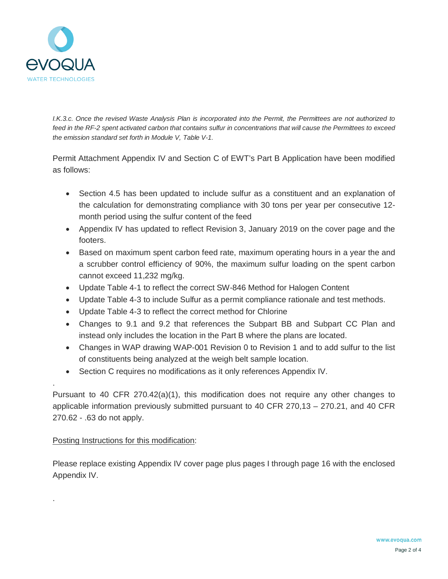

.

.

*I.K.3.c. Once the revised Waste Analysis Plan is incorporated into the Permit, the Permittees are not authorized to feed in the RF-2 spent activated carbon that contains sulfur in concentrations that will cause the Permittees to exceed the emission standard set forth in Module V, Table V-1.*

Permit Attachment Appendix IV and Section C of EWT's Part B Application have been modified as follows:

- · Section 4.5 has been updated to include sulfur as a constituent and an explanation of the calculation for demonstrating compliance with 30 tons per year per consecutive 12 month period using the sulfur content of the feed
- · Appendix IV has updated to reflect Revision 3, January 2019 on the cover page and the footers.
- · Based on maximum spent carbon feed rate, maximum operating hours in a year the and a scrubber control efficiency of 90%, the maximum sulfur loading on the spent carbon cannot exceed 11,232 mg/kg.
- · Update Table 4-1 to reflect the correct SW-846 Method for Halogen Content
- · Update Table 4-3 to include Sulfur as a permit compliance rationale and test methods.
- · Update Table 4-3 to reflect the correct method for Chlorine
- · Changes to 9.1 and 9.2 that references the Subpart BB and Subpart CC Plan and instead only includes the location in the Part B where the plans are located.
- · Changes in WAP drawing WAP-001 Revision 0 to Revision 1 and to add sulfur to the list of constituents being analyzed at the weigh belt sample location.
- · Section C requires no modifications as it only references Appendix IV.

Pursuant to 40 CFR 270.42(a)(1), this modification does not require any other changes to applicable information previously submitted pursuant to 40 CFR 270,13 – 270.21, and 40 CFR 270.62 - .63 do not apply.

### Posting Instructions for this modification:

Please replace existing Appendix IV cover page plus pages I through page 16 with the enclosed Appendix IV.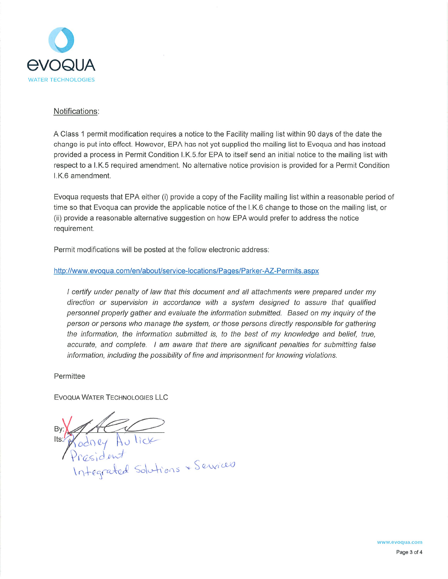

### Notifications:

A Class 1 permit modification requires a notice to the Facility mailing list within 90 days of the date the change is put into effect. However, EPA has not yet supplied the mailing list to Evoqua and has instead provided a process in Permit Condition I.K.5.for EPA to itself send an initial notice to the mailing list with respect to a I.K.5 required amendment. No alternative notice provision is provided for a Permit Condition I.K.6 amendment.

Evoqua requests that EPA either (i) provide a copy of the Facility mailing list within a reasonable period of time so that Evoqua can provide the applicable notice of the I.K.6 change to those on the mailing list, or (ii) provide a reasonable alternative suggestion on how EPA would prefer to address the notice requirement.

Permit modifications will be posted at the follow electronic address:

### http://www.evoqua.com/en/about/service-locations/Pages/Parker-AZ-Permits.aspx

I certify under penalty of law that this document and all attachments were prepared under my direction or supervision in accordance with a system designed to assure that qualified personnel properly gather and evaluate the information submitted. Based on my inquiry of the person or persons who manage the system, or those persons directly responsible for gathering the information, the information submitted is, to the best of my knowledge and belief, true, accurate, and complete. I am aware that there are significant penalties for submitting false information, including the possibility of fine and imprisonment for knowing violations.

Permittee

EVOQUA WATER TECHNOLOGIES LLC

Vodney Au lick<br>President<br>Integrated Solutions + Services Its: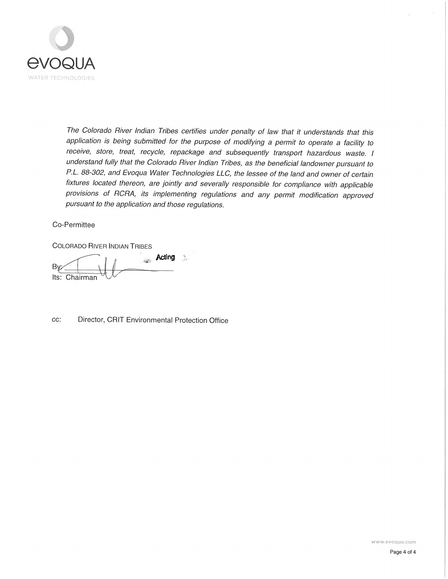

The Colorado River Indian Tribes certifies under penalty of law that it understands that this application is being submitted for the purpose of modifying a permit to operate a facility to receive, store, treat, recycle, repackage and subsequently transport hazardous waste. I understand fully that the Colorado River Indian Tribes, as the beneficial landowner pursuant to P.L. 88-302, and Evoqua Water Technologies LLC, the lessee of the land and owner of certain fixtures located thereon, are jointly and severally responsible for compliance with applicable provisions of RCRA, its implementing regulations and any permit modification approved pursuant to the application and those regulations.

### Co-Permittee

**COLORADO RIVER INDIAN TRIBES** 

**Acting** By Its: Chairman

cc: Director, CRIT Environmental Protection Office

www.evoqua.com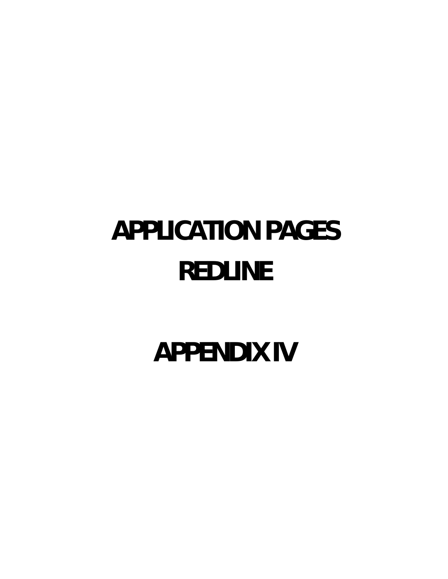# **APPLICATION PAGES REDLINE**

**APPENDIX IV**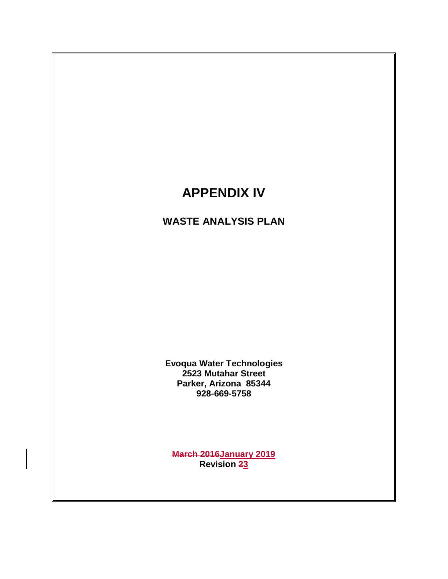# **APPENDIX IV**

# **WASTE ANALYSIS PLAN**

**Evoqua Water Technologies 2523 Mutahar Street Parker, Arizona 85344 928-669-5758**

**March 2016January 2019 Revision 23**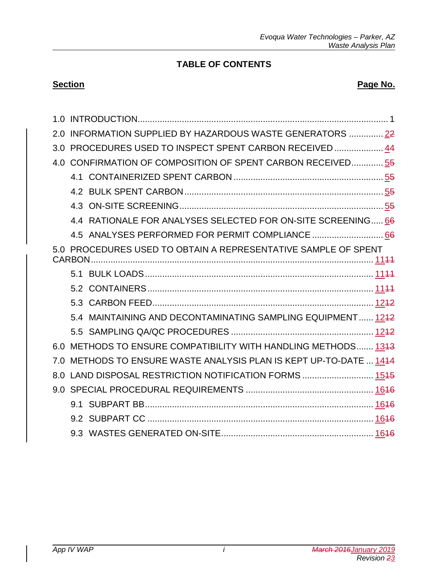### **TABLE OF CONTENTS**

### **Section Page No. Page No.**

| 2.0  | INFORMATION SUPPLIED BY HAZARDOUS WASTE GENERATORS  22         |  |
|------|----------------------------------------------------------------|--|
| 3.0  | PROCEDURES USED TO INSPECT SPENT CARBON RECEIVED  44           |  |
| 4.0  | CONFIRMATION OF COMPOSITION OF SPENT CARBON RECEIVED55         |  |
|      |                                                                |  |
|      |                                                                |  |
|      |                                                                |  |
|      | 4.4 RATIONALE FOR ANALYSES SELECTED FOR ON-SITE SCREENING 66   |  |
|      |                                                                |  |
|      | 5.0 PROCEDURES USED TO OBTAIN A REPRESENTATIVE SAMPLE OF SPENT |  |
|      |                                                                |  |
|      |                                                                |  |
|      |                                                                |  |
|      | 5.4 MAINTAINING AND DECONTAMINATING SAMPLING EQUIPMENT 1242    |  |
|      |                                                                |  |
| 6.0. | METHODS TO ENSURE COMPATIBILITY WITH HANDLING METHODS 1343     |  |
| 7.0  | METHODS TO ENSURE WASTE ANALYSIS PLAN IS KEPT UP-TO-DATE  1414 |  |
| 8.0  | LAND DISPOSAL RESTRICTION NOTIFICATION FORMS  1545             |  |
| 9 O  |                                                                |  |
|      |                                                                |  |
|      |                                                                |  |
|      |                                                                |  |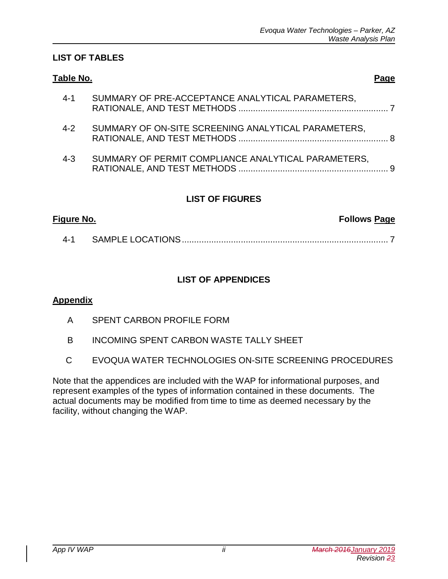### **LIST OF TABLES**

| Table No.                                                      | Page |
|----------------------------------------------------------------|------|
| SUMMARY OF PRE-ACCEPTANCE ANALYTICAL PARAMETERS,<br>$4 - 1$    |      |
| SUMMARY OF ON-SITE SCREENING ANALYTICAL PARAMETERS,<br>$4 - 2$ |      |
| SUMMARY OF PERMIT COMPLIANCE ANALYTICAL PARAMETERS,<br>$4 - 3$ |      |

### **LIST OF FIGURES**

| <u>Figure No.</u> | <b>Follows Page</b> |
|-------------------|---------------------|
| 4-1               |                     |

### **LIST OF APPENDICES**

### **Appendix**

- A SPENT CARBON PROFILE FORM
- B INCOMING SPENT CARBON WASTE TALLY SHEET
- C EVOQUA WATER TECHNOLOGIES ON-SITE SCREENING PROCEDURES

Note that the appendices are included with the WAP for informational purposes, and represent examples of the types of information contained in these documents. The actual documents may be modified from time to time as deemed necessary by the facility, without changing the WAP.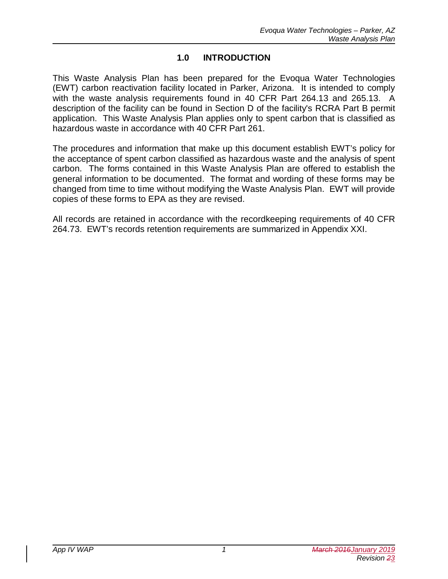### **1.0 INTRODUCTION**

This Waste Analysis Plan has been prepared for the Evoqua Water Technologies (EWT) carbon reactivation facility located in Parker, Arizona. It is intended to comply with the waste analysis requirements found in 40 CFR Part 264.13 and 265.13. A description of the facility can be found in Section D of the facility's RCRA Part B permit application. This Waste Analysis Plan applies only to spent carbon that is classified as hazardous waste in accordance with 40 CFR Part 261.

The procedures and information that make up this document establish EWT's policy for the acceptance of spent carbon classified as hazardous waste and the analysis of spent carbon. The forms contained in this Waste Analysis Plan are offered to establish the general information to be documented. The format and wording of these forms may be changed from time to time without modifying the Waste Analysis Plan. EWT will provide copies of these forms to EPA as they are revised.

All records are retained in accordance with the recordkeeping requirements of 40 CFR 264.73. EWT's records retention requirements are summarized in Appendix XXI.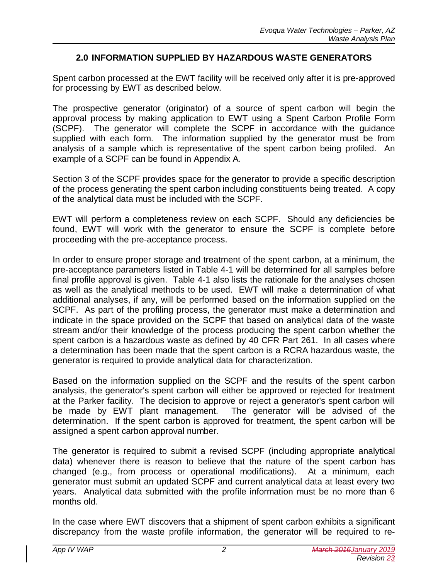### **2.0 INFORMATION SUPPLIED BY HAZARDOUS WASTE GENERATORS**

Spent carbon processed at the EWT facility will be received only after it is pre-approved for processing by EWT as described below.

The prospective generator (originator) of a source of spent carbon will begin the approval process by making application to EWT using a Spent Carbon Profile Form (SCPF). The generator will complete the SCPF in accordance with the guidance supplied with each form. The information supplied by the generator must be from analysis of a sample which is representative of the spent carbon being profiled. An example of a SCPF can be found in Appendix A.

Section 3 of the SCPF provides space for the generator to provide a specific description of the process generating the spent carbon including constituents being treated. A copy of the analytical data must be included with the SCPF.

EWT will perform a completeness review on each SCPF. Should any deficiencies be found, EWT will work with the generator to ensure the SCPF is complete before proceeding with the pre-acceptance process.

In order to ensure proper storage and treatment of the spent carbon, at a minimum, the pre-acceptance parameters listed in Table 4-1 will be determined for all samples before final profile approval is given. Table 4-1 also lists the rationale for the analyses chosen as well as the analytical methods to be used. EWT will make a determination of what additional analyses, if any, will be performed based on the information supplied on the SCPF. As part of the profiling process, the generator must make a determination and indicate in the space provided on the SCPF that based on analytical data of the waste stream and/or their knowledge of the process producing the spent carbon whether the spent carbon is a hazardous waste as defined by 40 CFR Part 261. In all cases where a determination has been made that the spent carbon is a RCRA hazardous waste, the generator is required to provide analytical data for characterization.

Based on the information supplied on the SCPF and the results of the spent carbon analysis, the generator's spent carbon will either be approved or rejected for treatment at the Parker facility. The decision to approve or reject a generator's spent carbon will be made by EWT plant management. The generator will be advised of the determination. If the spent carbon is approved for treatment, the spent carbon will be assigned a spent carbon approval number.

The generator is required to submit a revised SCPF (including appropriate analytical data) whenever there is reason to believe that the nature of the spent carbon has changed (e.g., from process or operational modifications). At a minimum, each generator must submit an updated SCPF and current analytical data at least every two years. Analytical data submitted with the profile information must be no more than 6 months old.

In the case where EWT discovers that a shipment of spent carbon exhibits a significant discrepancy from the waste profile information, the generator will be required to re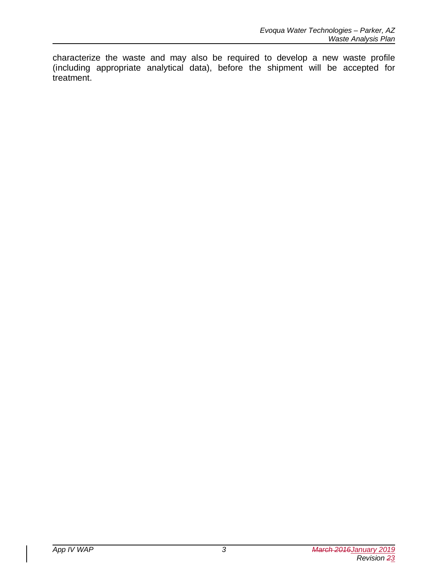characterize the waste and may also be required to develop a new waste profile (including appropriate analytical data), before the shipment will be accepted for treatment.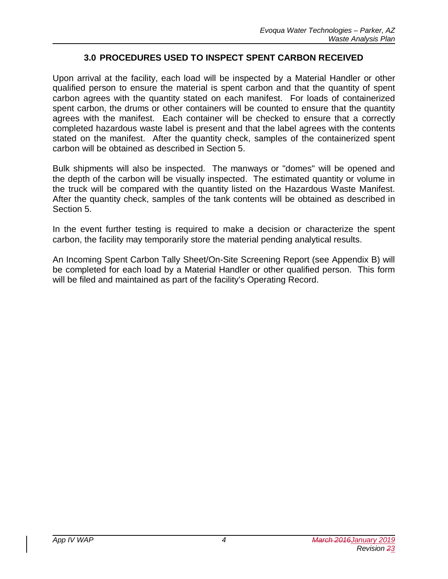### **3.0 PROCEDURES USED TO INSPECT SPENT CARBON RECEIVED**

Upon arrival at the facility, each load will be inspected by a Material Handler or other qualified person to ensure the material is spent carbon and that the quantity of spent carbon agrees with the quantity stated on each manifest. For loads of containerized spent carbon, the drums or other containers will be counted to ensure that the quantity agrees with the manifest. Each container will be checked to ensure that a correctly completed hazardous waste label is present and that the label agrees with the contents stated on the manifest. After the quantity check, samples of the containerized spent carbon will be obtained as described in Section 5.

Bulk shipments will also be inspected. The manways or "domes" will be opened and the depth of the carbon will be visually inspected. The estimated quantity or volume in the truck will be compared with the quantity listed on the Hazardous Waste Manifest. After the quantity check, samples of the tank contents will be obtained as described in Section 5.

In the event further testing is required to make a decision or characterize the spent carbon, the facility may temporarily store the material pending analytical results.

An Incoming Spent Carbon Tally Sheet/On-Site Screening Report (see Appendix B) will be completed for each load by a Material Handler or other qualified person. This form will be filed and maintained as part of the facility's Operating Record.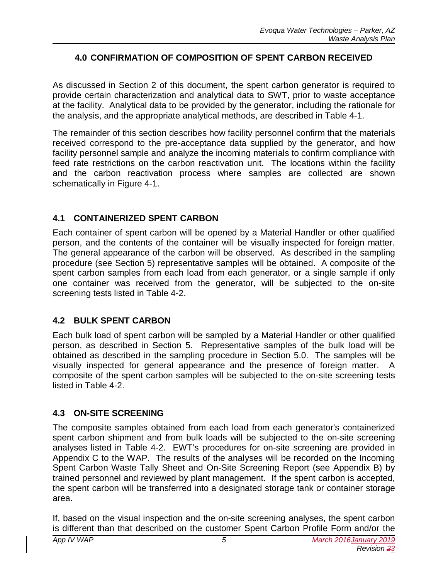### **4.0 CONFIRMATION OF COMPOSITION OF SPENT CARBON RECEIVED**

As discussed in Section 2 of this document, the spent carbon generator is required to provide certain characterization and analytical data to SWT, prior to waste acceptance at the facility. Analytical data to be provided by the generator, including the rationale for the analysis, and the appropriate analytical methods, are described in Table 4-1.

The remainder of this section describes how facility personnel confirm that the materials received correspond to the pre-acceptance data supplied by the generator, and how facility personnel sample and analyze the incoming materials to confirm compliance with feed rate restrictions on the carbon reactivation unit. The locations within the facility and the carbon reactivation process where samples are collected are shown schematically in Figure 4-1.

### **4.1 CONTAINERIZED SPENT CARBON**

Each container of spent carbon will be opened by a Material Handler or other qualified person, and the contents of the container will be visually inspected for foreign matter. The general appearance of the carbon will be observed. As described in the sampling procedure (see Section 5) representative samples will be obtained. A composite of the spent carbon samples from each load from each generator, or a single sample if only one container was received from the generator, will be subjected to the on-site screening tests listed in Table 4-2.

### **4.2 BULK SPENT CARBON**

Each bulk load of spent carbon will be sampled by a Material Handler or other qualified person, as described in Section 5. Representative samples of the bulk load will be obtained as described in the sampling procedure in Section 5.0. The samples will be visually inspected for general appearance and the presence of foreign matter. A composite of the spent carbon samples will be subjected to the on-site screening tests listed in Table 4-2.

### **4.3 ON-SITE SCREENING**

The composite samples obtained from each load from each generator's containerized spent carbon shipment and from bulk loads will be subjected to the on-site screening analyses listed in Table 4-2. EWT's procedures for on-site screening are provided in Appendix C to the WAP. The results of the analyses will be recorded on the Incoming Spent Carbon Waste Tally Sheet and On-Site Screening Report (see Appendix B) by trained personnel and reviewed by plant management. If the spent carbon is accepted, the spent carbon will be transferred into a designated storage tank or container storage area.

If, based on the visual inspection and the on-site screening analyses, the spent carbon is different than that described on the customer Spent Carbon Profile Form and/or the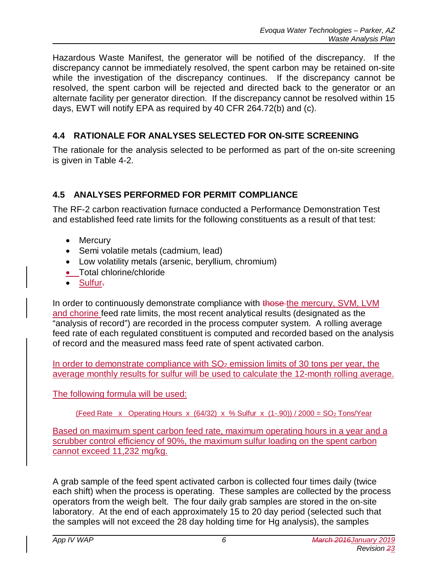Hazardous Waste Manifest, the generator will be notified of the discrepancy. If the discrepancy cannot be immediately resolved, the spent carbon may be retained on-site while the investigation of the discrepancy continues. If the discrepancy cannot be resolved, the spent carbon will be rejected and directed back to the generator or an alternate facility per generator direction. If the discrepancy cannot be resolved within 15 days, EWT will notify EPA as required by 40 CFR 264.72(b) and (c).

# **4.4 RATIONALE FOR ANALYSES SELECTED FOR ON-SITE SCREENING**

The rationale for the analysis selected to be performed as part of the on-site screening is given in Table 4-2.

# **4.5 ANALYSES PERFORMED FOR PERMIT COMPLIANCE**

The RF-2 carbon reactivation furnace conducted a Performance Demonstration Test and established feed rate limits for the following constituents as a result of that test:

- Mercury
- Semi volatile metals (cadmium, lead)
- · Low volatility metals (arsenic, beryllium, chromium)
- Total chlorine/chloride
- · Sulfur.

In order to continuously demonstrate compliance with those the mercury, SVM, LVM and chorine feed rate limits, the most recent analytical results (designated as the "analysis of record") are recorded in the process computer system. A rolling average feed rate of each regulated constituent is computed and recorded based on the analysis of record and the measured mass feed rate of spent activated carbon.

In order to demonstrate compliance with  $SO<sub>2</sub>$  emission limits of 30 tons per year, the average monthly results for sulfur will be used to calculate the 12-month rolling average.

The following formula will be used:

(Feed Rate x Operating Hours x  $(64/32)$  x % Sulfur x  $(1-.90)$ ) / 2000 = SO<sub>2</sub> Tons/Year

Based on maximum spent carbon feed rate, maximum operating hours in a year and a scrubber control efficiency of 90%, the maximum sulfur loading on the spent carbon cannot exceed 11,232 mg/kg.

A grab sample of the feed spent activated carbon is collected four times daily (twice each shift) when the process is operating. These samples are collected by the process operators from the weigh belt. The four daily grab samples are stored in the on-site laboratory. At the end of each approximately 15 to 20 day period (selected such that the samples will not exceed the 28 day holding time for Hg analysis), the samples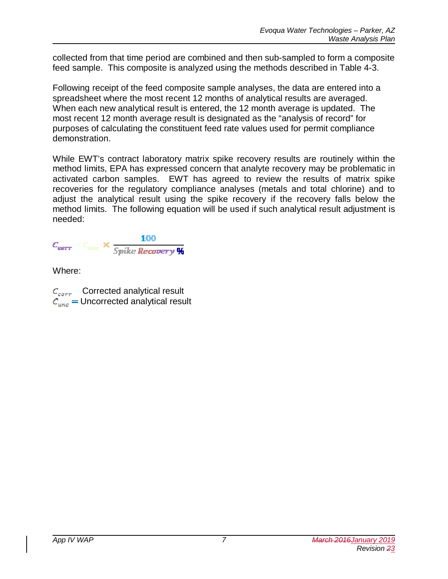collected from that time period are combined and then sub-sampled to form a composite feed sample. This composite is analyzed using the methods described in Table 4-3.

Following receipt of the feed composite sample analyses, the data are entered into a spreadsheet where the most recent 12 months of analytical results are averaged. When each new analytical result is entered, the 12 month average is updated. The most recent 12 month average result is designated as the "analysis of record" for purposes of calculating the constituent feed rate values used for permit compliance demonstration.

While EWT's contract laboratory matrix spike recovery results are routinely within the method limits, EPA has expressed concern that analyte recovery may be problematic in activated carbon samples. EWT has agreed to review the results of matrix spike recoveries for the regulatory compliance analyses (metals and total chlorine) and to adjust the analytical result using the spike recovery if the recovery falls below the method limits. The following equation will be used if such analytical result adjustment is needed:

 $\times$ 

Where:

 $C_{corr}$  Corrected analytical result Uncorrected analytical result $\mathcal{C}_{unc}$  :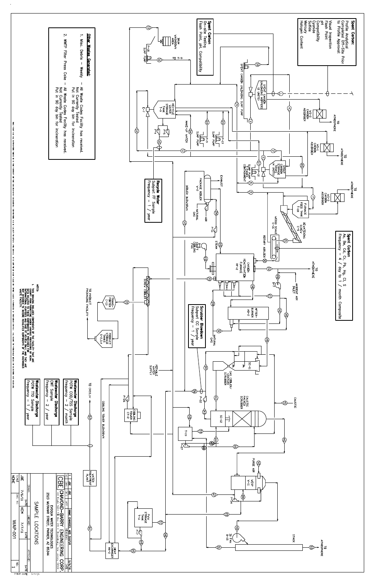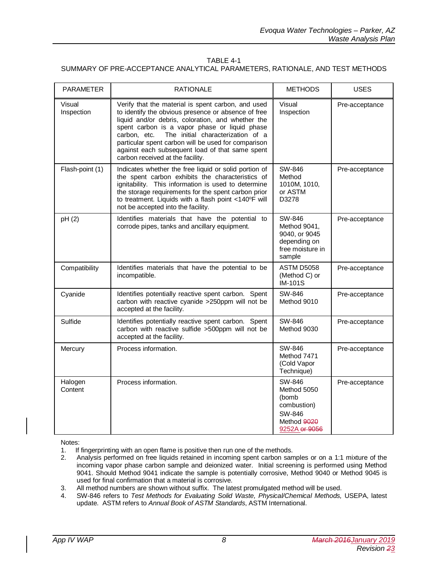### TABLE 4-1 SUMMARY OF PRE-ACCEPTANCE ANALYTICAL PARAMETERS, RATIONALE, AND TEST METHODS

| <b>PARAMETER</b>     | <b>RATIONALE</b>                                                                                                                                                                                                                                                                                                                                                                                                   | <b>METHODS</b>                                                                          | <b>USES</b>    |
|----------------------|--------------------------------------------------------------------------------------------------------------------------------------------------------------------------------------------------------------------------------------------------------------------------------------------------------------------------------------------------------------------------------------------------------------------|-----------------------------------------------------------------------------------------|----------------|
| Visual<br>Inspection | Verify that the material is spent carbon, and used<br>to identify the obvious presence or absence of free<br>liquid and/or debris, coloration, and whether the<br>spent carbon is a vapor phase or liquid phase<br>The initial characterization of a<br>carbon, etc.<br>particular spent carbon will be used for comparison<br>against each subsequent load of that same spent<br>carbon received at the facility. | Visual<br>Inspection                                                                    | Pre-acceptance |
| Flash-point (1)      | Indicates whether the free liquid or solid portion of<br>the spent carbon exhibits the characteristics of<br>ignitability. This information is used to determine<br>the storage requirements for the spent carbon prior<br>to treatment. Liquids with a flash point <140°F will<br>not be accepted into the facility.                                                                                              | SW-846<br>Method<br>1010M, 1010,<br>or ASTM<br>D3278                                    | Pre-acceptance |
| pH (2)               | Identifies materials that have the potential to<br>corrode pipes, tanks and ancillary equipment.                                                                                                                                                                                                                                                                                                                   | SW-846<br>Method 9041,<br>9040, or 9045<br>depending on<br>free moisture in<br>sample   | Pre-acceptance |
| Compatibility        | Identifies materials that have the potential to be<br>incompatible.                                                                                                                                                                                                                                                                                                                                                | ASTM D5058<br>(Method C) or<br><b>IM-101S</b>                                           | Pre-acceptance |
| Cyanide              | Identifies potentially reactive spent carbon. Spent<br>carbon with reactive cyanide >250ppm will not be<br>accepted at the facility.                                                                                                                                                                                                                                                                               | SW-846<br>Method 9010                                                                   | Pre-acceptance |
| Sulfide              | Identifies potentially reactive spent carbon. Spent<br>carbon with reactive sulfide >500ppm will not be<br>accepted at the facility.                                                                                                                                                                                                                                                                               | SW-846<br>Method 9030                                                                   | Pre-acceptance |
| Mercury              | Process information.                                                                                                                                                                                                                                                                                                                                                                                               | SW-846<br>Method 7471<br>(Cold Vapor<br>Technique)                                      | Pre-acceptance |
| Halogen<br>Content   | Process information.                                                                                                                                                                                                                                                                                                                                                                                               | SW-846<br>Method 5050<br>(bomb<br>combustion)<br>SW-846<br>Method 9020<br>9252A or 9056 | Pre-acceptance |

Notes:

- 1. If fingerprinting with an open flame is positive then run one of the methods.<br>2. Analysis performed on free liquids retained in incoming spent carbon same
- 2. Analysis performed on free liquids retained in incoming spent carbon samples or on a 1:1 mixture of the incoming vapor phase carbon sample and deionized water. Initial screening is performed using Method 9041. Should Method 9041 indicate the sample is potentially corrosive, Method 9040 or Method 9045 is used for final confirmation that a material is corrosive.
- 3. All method numbers are shown without suffix. The latest promulgated method will be used.
- 4. SW-846 refers to *Test Methods for Evaluating Solid Waste, Physical/Chemical Methods,* USEPA, latest update. ASTM refers to *Annual Book of ASTM Standards*, ASTM International.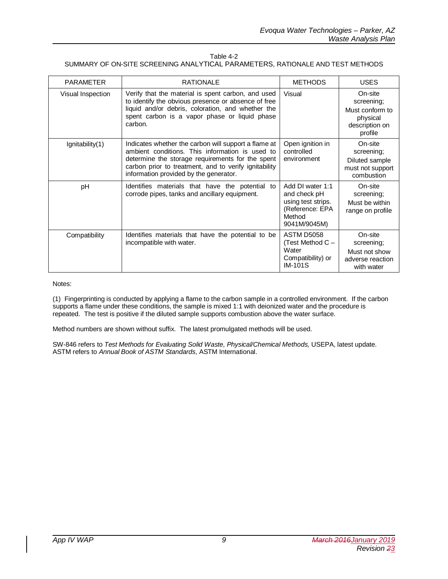| Table 4-2                                                                      |  |
|--------------------------------------------------------------------------------|--|
| SUMMARY OF ON-SITE SCREENING ANALYTICAL PARAMETERS. RATIONALE AND TEST METHODS |  |

| <b>PARAMETER</b>      | <b>RATIONALE</b>                                                                                                                                                                                                                                               | <b>METHODS</b>                                                                                      | <b>USES</b>                                                                       |
|-----------------------|----------------------------------------------------------------------------------------------------------------------------------------------------------------------------------------------------------------------------------------------------------------|-----------------------------------------------------------------------------------------------------|-----------------------------------------------------------------------------------|
| Visual Inspection     | Verify that the material is spent carbon, and used<br>to identify the obvious presence or absence of free<br>liquid and/or debris, coloration, and whether the<br>spent carbon is a vapor phase or liquid phase<br>carbon.                                     | Visual                                                                                              | On-site<br>screening;<br>Must conform to<br>physical<br>description on<br>profile |
| $I$ gnitability $(1)$ | Indicates whether the carbon will support a flame at<br>ambient conditions. This information is used to<br>determine the storage requirements for the spent<br>carbon prior to treatment, and to verify ignitability<br>information provided by the generator. | Open ignition in<br>controlled<br>environment                                                       | On-site<br>screening;<br>Diluted sample<br>must not support<br>combustion         |
| pH                    | Identifies materials that have the potential to<br>corrode pipes, tanks and ancillary equipment.                                                                                                                                                               | Add DI water 1:1<br>and check pH<br>using test strips.<br>(Reference: EPA<br>Method<br>9041M/9045M) | On-site<br>screening;<br>Must be within<br>range on profile                       |
| Compatibility         | Identifies materials that have the potential to be<br>incompatible with water.                                                                                                                                                                                 | <b>ASTM D5058</b><br>(Test Method C -<br>Water<br>Compatibility) or<br><b>IM-101S</b>               | On-site<br>screening;<br>Must not show<br>adverse reaction<br>with water          |

Notes:

(1) Fingerprinting is conducted by applying a flame to the carbon sample in a controlled environment. If the carbon supports a flame under these conditions, the sample is mixed 1:1 with deionized water and the procedure is repeated. The test is positive if the diluted sample supports combustion above the water surface.

Method numbers are shown without suffix. The latest promulgated methods will be used.

SW-846 refers to *Test Methods for Evaluating Solid Waste, Physical/Chemical Methods,* USEPA, latest update. ASTM refers to *Annual Book of ASTM Standards*, ASTM International.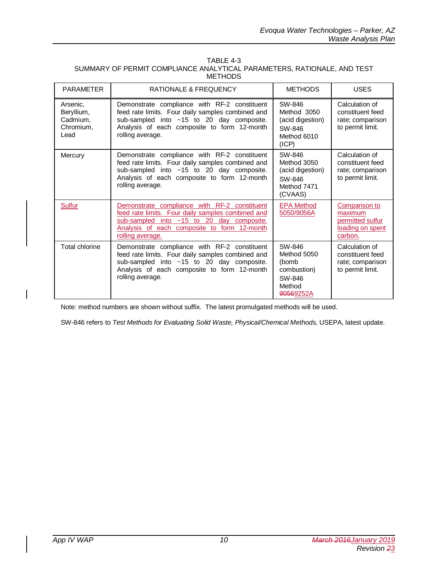| TABLE 4-3                                                               |
|-------------------------------------------------------------------------|
| SUMMARY OF PERMIT COMPLIANCE ANALYTICAL PARAMETERS. RATIONALE, AND TEST |
| <b>METHODS</b>                                                          |

| <b>PARAMETER</b>                                        | <b>RATIONALE &amp; FREQUENCY</b>                                                                                                                                                                                    | <b>METHODS</b>                                                                 | <b>USES</b>                                                                 |
|---------------------------------------------------------|---------------------------------------------------------------------------------------------------------------------------------------------------------------------------------------------------------------------|--------------------------------------------------------------------------------|-----------------------------------------------------------------------------|
| Arsenic.<br>Beryllium,<br>Cadmium,<br>Chromium,<br>Lead | Demonstrate compliance with RF-2 constituent<br>feed rate limits. Four daily samples combined and<br>sub-sampled into $~15$ to 20 day composite.<br>Analysis of each composite to form 12-month<br>rolling average. | SW-846<br>Method 3050<br>(acid digestion)<br>SW-846<br>Method 6010<br>(ICP)    | Calculation of<br>constituent feed<br>rate; comparison<br>to permit limit.  |
| Mercury                                                 | Demonstrate compliance with RF-2 constituent<br>feed rate limits. Four daily samples combined and<br>sub-sampled into ~15 to 20 day composite.<br>Analysis of each composite to form 12-month<br>rolling average.   | SW-846<br>Method 3050<br>(acid digestion)<br>SW-846<br>Method 7471<br>(CVAAS)  | Calculation of<br>constituent feed<br>rate; comparison<br>to permit limit.  |
| Sulfur                                                  | Demonstrate compliance with RF-2 constituent<br>feed rate limits. Four daily samples combined and<br>sub-sampled into ~15 to 20 day composite.<br>Analysis of each composite to form 12-month<br>rolling average.   | <b>EPA Method</b><br>5050/9056A                                                | Comparison to<br>maximum<br>permitted sulfur<br>loading on spent<br>carbon. |
| Total chlorine                                          | Demonstrate compliance with RF-2 constituent<br>feed rate limits. Four daily samples combined and<br>sub-sampled into ~15 to 20 day composite.<br>Analysis of each composite to form 12-month<br>rolling average.   | SW-846<br>Method 5050<br>(bomb<br>combustion)<br>SW-846<br>Method<br>90569252A | Calculation of<br>constituent feed<br>rate; comparison<br>to permit limit.  |

Note: method numbers are shown without suffix. The latest promulgated methods will be used.

SW-846 refers to *Test Methods for Evaluating Solid Waste, Physical/Chemical Methods,* USEPA, latest update.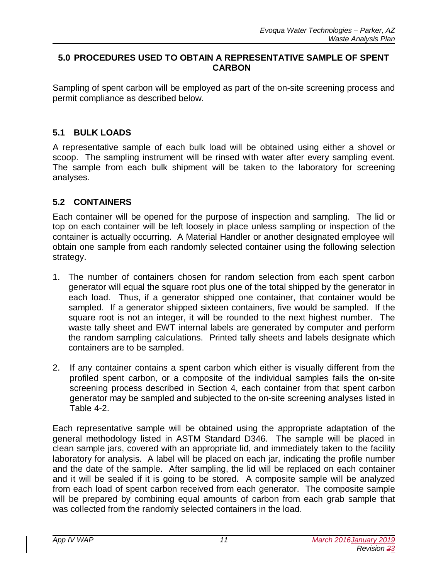### **5.0 PROCEDURES USED TO OBTAIN A REPRESENTATIVE SAMPLE OF SPENT CARBON**

Sampling of spent carbon will be employed as part of the on-site screening process and permit compliance as described below.

### **5.1 BULK LOADS**

A representative sample of each bulk load will be obtained using either a shovel or scoop. The sampling instrument will be rinsed with water after every sampling event. The sample from each bulk shipment will be taken to the laboratory for screening analyses.

# **5.2 CONTAINERS**

Each container will be opened for the purpose of inspection and sampling. The lid or top on each container will be left loosely in place unless sampling or inspection of the container is actually occurring. A Material Handler or another designated employee will obtain one sample from each randomly selected container using the following selection strategy.

- 1. The number of containers chosen for random selection from each spent carbon generator will equal the square root plus one of the total shipped by the generator in each load. Thus, if a generator shipped one container, that container would be sampled. If a generator shipped sixteen containers, five would be sampled. If the square root is not an integer, it will be rounded to the next highest number. The waste tally sheet and EWT internal labels are generated by computer and perform the random sampling calculations. Printed tally sheets and labels designate which containers are to be sampled.
- 2. If any container contains a spent carbon which either is visually different from the profiled spent carbon, or a composite of the individual samples fails the on-site screening process described in Section 4, each container from that spent carbon generator may be sampled and subjected to the on-site screening analyses listed in Table 4-2.

Each representative sample will be obtained using the appropriate adaptation of the general methodology listed in ASTM Standard D346. The sample will be placed in clean sample jars, covered with an appropriate lid, and immediately taken to the facility laboratory for analysis. A label will be placed on each jar, indicating the profile number and the date of the sample. After sampling, the lid will be replaced on each container and it will be sealed if it is going to be stored. A composite sample will be analyzed from each load of spent carbon received from each generator. The composite sample will be prepared by combining equal amounts of carbon from each grab sample that was collected from the randomly selected containers in the load.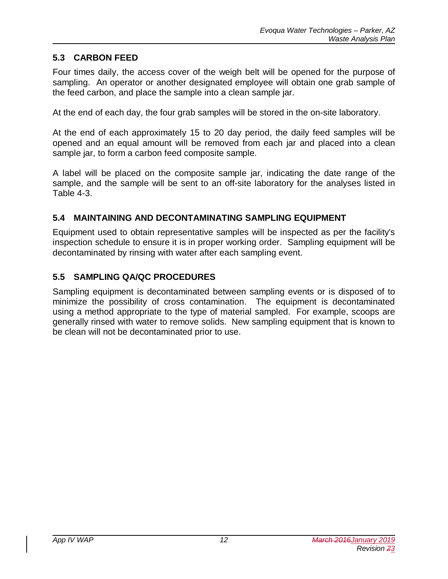### **5.3 CARBON FEED**

Four times daily, the access cover of the weigh belt will be opened for the purpose of sampling. An operator or another designated employee will obtain one grab sample of the feed carbon, and place the sample into a clean sample jar.

At the end of each day, the four grab samples will be stored in the on-site laboratory.

At the end of each approximately 15 to 20 day period, the daily feed samples will be opened and an equal amount will be removed from each jar and placed into a clean sample jar, to form a carbon feed composite sample.

A label will be placed on the composite sample jar, indicating the date range of the sample, and the sample will be sent to an off-site laboratory for the analyses listed in Table 4-3.

### **5.4 MAINTAINING AND DECONTAMINATING SAMPLING EQUIPMENT**

Equipment used to obtain representative samples will be inspected as per the facility's inspection schedule to ensure it is in proper working order. Sampling equipment will be decontaminated by rinsing with water after each sampling event.

### **5.5 SAMPLING QA/QC PROCEDURES**

Sampling equipment is decontaminated between sampling events or is disposed of to minimize the possibility of cross contamination. The equipment is decontaminated using a method appropriate to the type of material sampled. For example, scoops are generally rinsed with water to remove solids. New sampling equipment that is known to be clean will not be decontaminated prior to use.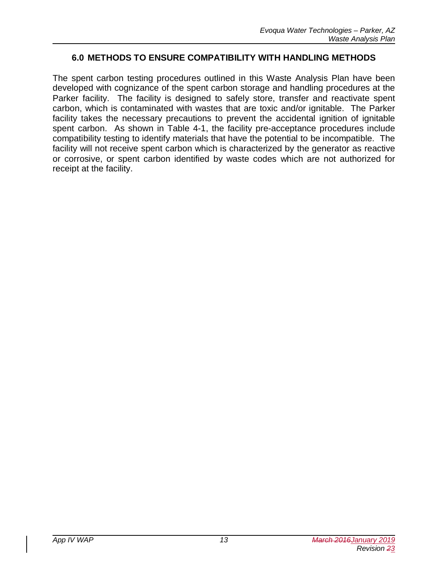### **6.0 METHODS TO ENSURE COMPATIBILITY WITH HANDLING METHODS**

The spent carbon testing procedures outlined in this Waste Analysis Plan have been developed with cognizance of the spent carbon storage and handling procedures at the Parker facility. The facility is designed to safely store, transfer and reactivate spent carbon, which is contaminated with wastes that are toxic and/or ignitable. The Parker facility takes the necessary precautions to prevent the accidental ignition of ignitable spent carbon. As shown in Table 4-1, the facility pre-acceptance procedures include compatibility testing to identify materials that have the potential to be incompatible. The facility will not receive spent carbon which is characterized by the generator as reactive or corrosive, or spent carbon identified by waste codes which are not authorized for receipt at the facility.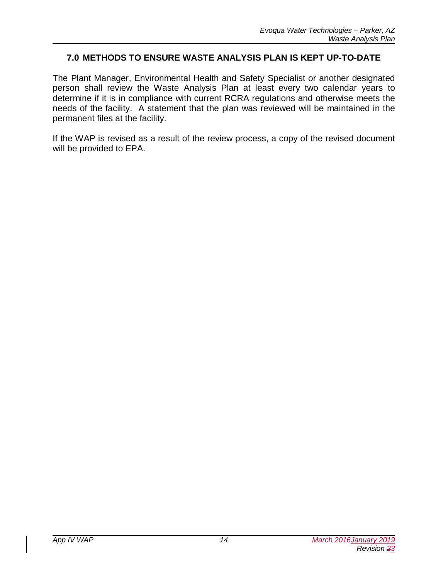### **7.0 METHODS TO ENSURE WASTE ANALYSIS PLAN IS KEPT UP-TO-DATE**

The Plant Manager, Environmental Health and Safety Specialist or another designated person shall review the Waste Analysis Plan at least every two calendar years to determine if it is in compliance with current RCRA regulations and otherwise meets the needs of the facility. A statement that the plan was reviewed will be maintained in the permanent files at the facility.

If the WAP is revised as a result of the review process, a copy of the revised document will be provided to EPA.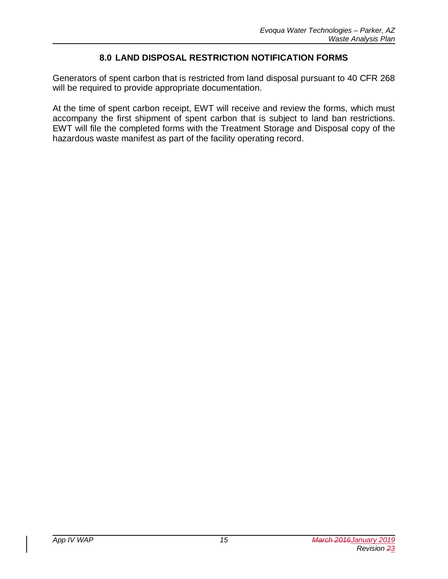### **8.0 LAND DISPOSAL RESTRICTION NOTIFICATION FORMS**

Generators of spent carbon that is restricted from land disposal pursuant to 40 CFR 268 will be required to provide appropriate documentation.

At the time of spent carbon receipt, EWT will receive and review the forms, which must accompany the first shipment of spent carbon that is subject to land ban restrictions. EWT will file the completed forms with the Treatment Storage and Disposal copy of the hazardous waste manifest as part of the facility operating record.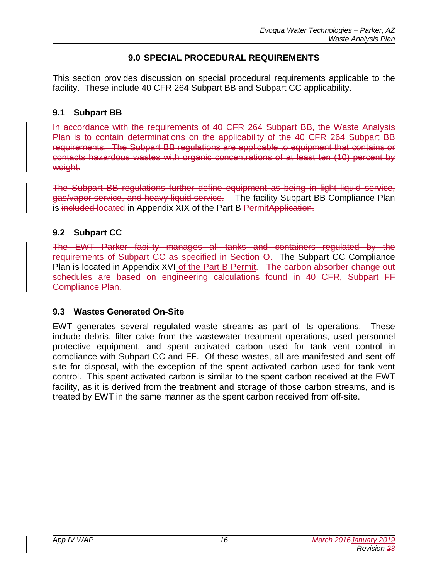### **9.0 SPECIAL PROCEDURAL REQUIREMENTS**

This section provides discussion on special procedural requirements applicable to the facility. These include 40 CFR 264 Subpart BB and Subpart CC applicability.

### **9.1 Subpart BB**

In accordance with the requirements of 40 CFR 264 Subpart BB, the Waste Analysis Plan is to contain determinations on the applicability of the 40 CFR 264 Subpart BB requirements. The Subpart BB regulations are applicable to equipment that contains or contacts hazardous wastes with organic concentrations of at least ten (10) percent by weight.

The Subpart BB regulations further define equipment as being in light liquid service, gas/vapor service, and heavy liquid service. The facility Subpart BB Compliance Plan is included located in Appendix XIX of the Part B PermitApplication.

### **9.2 Subpart CC**

The EWT Parker facility manages all tanks and containers regulated by the requirements of Subpart CC as specified in Section O. The Subpart CC Compliance Plan is located in Appendix XVI of the Part B Permit. The carbon absorber change out schedules are based on engineering calculations found in 40 CFR, Subpart FF Compliance Plan.

### **9.3 Wastes Generated On-Site**

EWT generates several regulated waste streams as part of its operations. These include debris, filter cake from the wastewater treatment operations, used personnel protective equipment, and spent activated carbon used for tank vent control in compliance with Subpart CC and FF. Of these wastes, all are manifested and sent off site for disposal, with the exception of the spent activated carbon used for tank vent control. This spent activated carbon is similar to the spent carbon received at the EWT facility, as it is derived from the treatment and storage of those carbon streams, and is treated by EWT in the same manner as the spent carbon received from off-site.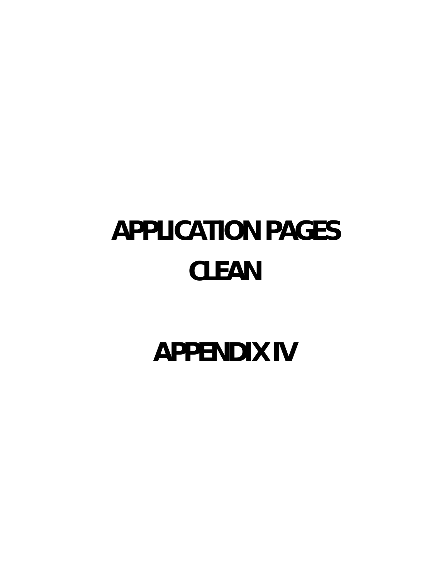# **APPLICATION PAGES CLEAN**

**APPENDIX IV**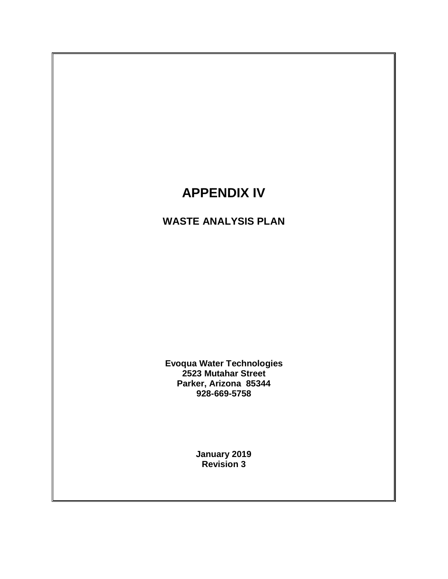# **APPENDIX IV**

# **WASTE ANALYSIS PLAN**

**Evoqua Water Technologies 2523 Mutahar Street Parker, Arizona 85344 928-669-5758**

> **January 2019 Revision 3**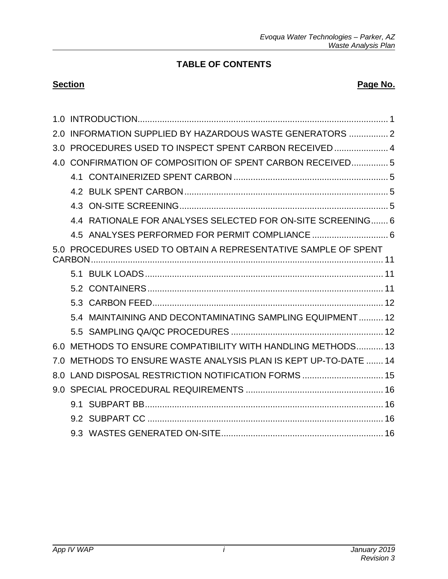# **TABLE OF CONTENTS**

### **Section Page No. Page No.**

|     | INFORMATION SUPPLIED BY HAZARDOUS WASTE GENERATORS  2          |  |
|-----|----------------------------------------------------------------|--|
| 3.0 | PROCEDURES USED TO INSPECT SPENT CARBON RECEIVED  4            |  |
| 4.0 | CONFIRMATION OF COMPOSITION OF SPENT CARBON RECEIVED5          |  |
|     |                                                                |  |
|     |                                                                |  |
|     |                                                                |  |
|     | 4.4 RATIONALE FOR ANALYSES SELECTED FOR ON-SITE SCREENING 6    |  |
|     | 4.5 ANALYSES PERFORMED FOR PERMIT COMPLIANCE  6                |  |
|     | 5.0 PROCEDURES USED TO OBTAIN A REPRESENTATIVE SAMPLE OF SPENT |  |
|     |                                                                |  |
|     |                                                                |  |
|     |                                                                |  |
|     | 5.4 MAINTAINING AND DECONTAMINATING SAMPLING EQUIPMENT 12      |  |
|     |                                                                |  |
| 60  | METHODS TO ENSURE COMPATIBILITY WITH HANDLING METHODS 13       |  |
| 7.0 | METHODS TO ENSURE WASTE ANALYSIS PLAN IS KEPT UP-TO-DATE  14   |  |
| 8.0 |                                                                |  |
| 9.0 |                                                                |  |
|     |                                                                |  |
|     |                                                                |  |
|     |                                                                |  |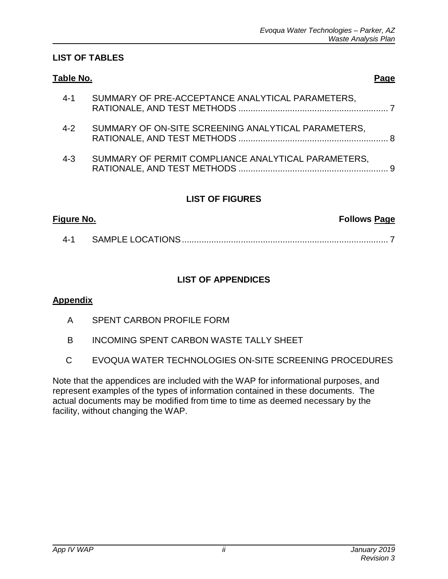### **LIST OF TABLES**

| Table No.                                                      | Page |
|----------------------------------------------------------------|------|
| SUMMARY OF PRE-ACCEPTANCE ANALYTICAL PARAMETERS,<br>$4 - 1$    |      |
| SUMMARY OF ON-SITE SCREENING ANALYTICAL PARAMETERS,<br>$4 - 2$ |      |
| SUMMARY OF PERMIT COMPLIANCE ANALYTICAL PARAMETERS,<br>$4 - 3$ |      |

### **LIST OF FIGURES**

| Figure No. | <b>Follows Page</b> |  |
|------------|---------------------|--|
| 4-1        |                     |  |

### **LIST OF APPENDICES**

### **Appendix**

- A SPENT CARBON PROFILE FORM
- B INCOMING SPENT CARBON WASTE TALLY SHEET
- C EVOQUA WATER TECHNOLOGIES ON-SITE SCREENING PROCEDURES

Note that the appendices are included with the WAP for informational purposes, and represent examples of the types of information contained in these documents. The actual documents may be modified from time to time as deemed necessary by the facility, without changing the WAP.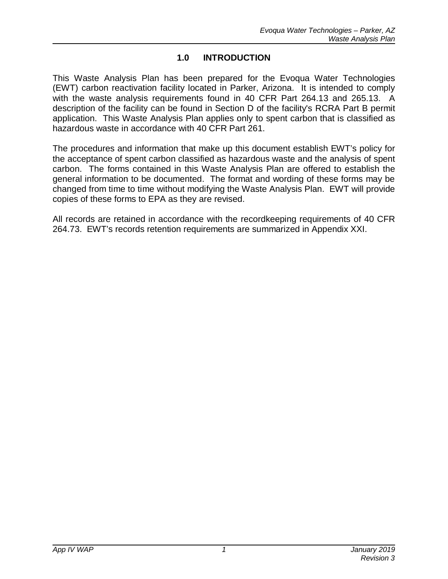### **1.0 INTRODUCTION**

This Waste Analysis Plan has been prepared for the Evoqua Water Technologies (EWT) carbon reactivation facility located in Parker, Arizona. It is intended to comply with the waste analysis requirements found in 40 CFR Part 264.13 and 265.13. A description of the facility can be found in Section D of the facility's RCRA Part B permit application. This Waste Analysis Plan applies only to spent carbon that is classified as hazardous waste in accordance with 40 CFR Part 261.

The procedures and information that make up this document establish EWT's policy for the acceptance of spent carbon classified as hazardous waste and the analysis of spent carbon. The forms contained in this Waste Analysis Plan are offered to establish the general information to be documented. The format and wording of these forms may be changed from time to time without modifying the Waste Analysis Plan. EWT will provide copies of these forms to EPA as they are revised.

All records are retained in accordance with the recordkeeping requirements of 40 CFR 264.73. EWT's records retention requirements are summarized in Appendix XXI.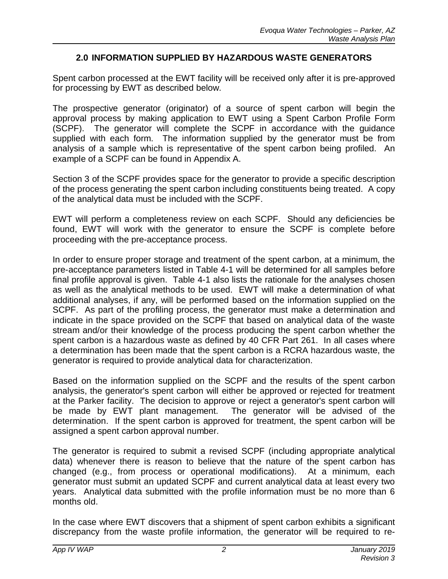### **2.0 INFORMATION SUPPLIED BY HAZARDOUS WASTE GENERATORS**

Spent carbon processed at the EWT facility will be received only after it is pre-approved for processing by EWT as described below.

The prospective generator (originator) of a source of spent carbon will begin the approval process by making application to EWT using a Spent Carbon Profile Form (SCPF). The generator will complete the SCPF in accordance with the guidance supplied with each form. The information supplied by the generator must be from analysis of a sample which is representative of the spent carbon being profiled. An example of a SCPF can be found in Appendix A.

Section 3 of the SCPF provides space for the generator to provide a specific description of the process generating the spent carbon including constituents being treated. A copy of the analytical data must be included with the SCPF.

EWT will perform a completeness review on each SCPF. Should any deficiencies be found, EWT will work with the generator to ensure the SCPF is complete before proceeding with the pre-acceptance process.

In order to ensure proper storage and treatment of the spent carbon, at a minimum, the pre-acceptance parameters listed in Table 4-1 will be determined for all samples before final profile approval is given. Table 4-1 also lists the rationale for the analyses chosen as well as the analytical methods to be used. EWT will make a determination of what additional analyses, if any, will be performed based on the information supplied on the SCPF. As part of the profiling process, the generator must make a determination and indicate in the space provided on the SCPF that based on analytical data of the waste stream and/or their knowledge of the process producing the spent carbon whether the spent carbon is a hazardous waste as defined by 40 CFR Part 261. In all cases where a determination has been made that the spent carbon is a RCRA hazardous waste, the generator is required to provide analytical data for characterization.

Based on the information supplied on the SCPF and the results of the spent carbon analysis, the generator's spent carbon will either be approved or rejected for treatment at the Parker facility. The decision to approve or reject a generator's spent carbon will be made by EWT plant management. The generator will be advised of the determination. If the spent carbon is approved for treatment, the spent carbon will be assigned a spent carbon approval number.

The generator is required to submit a revised SCPF (including appropriate analytical data) whenever there is reason to believe that the nature of the spent carbon has changed (e.g., from process or operational modifications). At a minimum, each generator must submit an updated SCPF and current analytical data at least every two years. Analytical data submitted with the profile information must be no more than 6 months old.

In the case where EWT discovers that a shipment of spent carbon exhibits a significant discrepancy from the waste profile information, the generator will be required to re-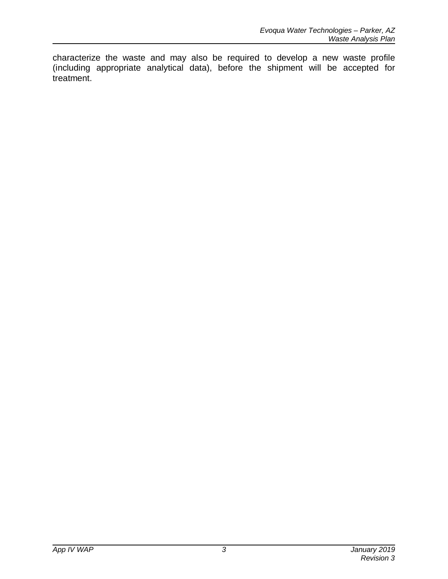characterize the waste and may also be required to develop a new waste profile (including appropriate analytical data), before the shipment will be accepted for treatment.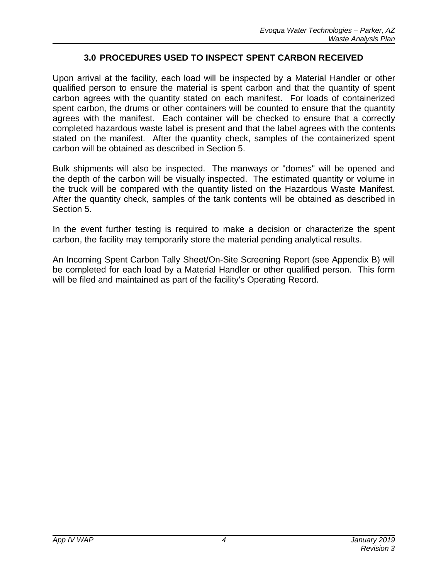### **3.0 PROCEDURES USED TO INSPECT SPENT CARBON RECEIVED**

Upon arrival at the facility, each load will be inspected by a Material Handler or other qualified person to ensure the material is spent carbon and that the quantity of spent carbon agrees with the quantity stated on each manifest. For loads of containerized spent carbon, the drums or other containers will be counted to ensure that the quantity agrees with the manifest. Each container will be checked to ensure that a correctly completed hazardous waste label is present and that the label agrees with the contents stated on the manifest. After the quantity check, samples of the containerized spent carbon will be obtained as described in Section 5.

Bulk shipments will also be inspected. The manways or "domes" will be opened and the depth of the carbon will be visually inspected. The estimated quantity or volume in the truck will be compared with the quantity listed on the Hazardous Waste Manifest. After the quantity check, samples of the tank contents will be obtained as described in Section 5.

In the event further testing is required to make a decision or characterize the spent carbon, the facility may temporarily store the material pending analytical results.

An Incoming Spent Carbon Tally Sheet/On-Site Screening Report (see Appendix B) will be completed for each load by a Material Handler or other qualified person. This form will be filed and maintained as part of the facility's Operating Record.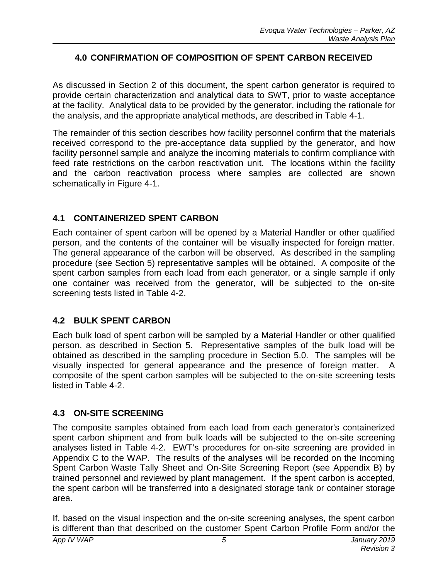### **4.0 CONFIRMATION OF COMPOSITION OF SPENT CARBON RECEIVED**

As discussed in Section 2 of this document, the spent carbon generator is required to provide certain characterization and analytical data to SWT, prior to waste acceptance at the facility. Analytical data to be provided by the generator, including the rationale for the analysis, and the appropriate analytical methods, are described in Table 4-1.

The remainder of this section describes how facility personnel confirm that the materials received correspond to the pre-acceptance data supplied by the generator, and how facility personnel sample and analyze the incoming materials to confirm compliance with feed rate restrictions on the carbon reactivation unit. The locations within the facility and the carbon reactivation process where samples are collected are shown schematically in Figure 4-1.

### **4.1 CONTAINERIZED SPENT CARBON**

Each container of spent carbon will be opened by a Material Handler or other qualified person, and the contents of the container will be visually inspected for foreign matter. The general appearance of the carbon will be observed. As described in the sampling procedure (see Section 5) representative samples will be obtained. A composite of the spent carbon samples from each load from each generator, or a single sample if only one container was received from the generator, will be subjected to the on-site screening tests listed in Table 4-2.

### **4.2 BULK SPENT CARBON**

Each bulk load of spent carbon will be sampled by a Material Handler or other qualified person, as described in Section 5. Representative samples of the bulk load will be obtained as described in the sampling procedure in Section 5.0. The samples will be visually inspected for general appearance and the presence of foreign matter. A composite of the spent carbon samples will be subjected to the on-site screening tests listed in Table 4-2.

### **4.3 ON-SITE SCREENING**

The composite samples obtained from each load from each generator's containerized spent carbon shipment and from bulk loads will be subjected to the on-site screening analyses listed in Table 4-2. EWT's procedures for on-site screening are provided in Appendix C to the WAP. The results of the analyses will be recorded on the Incoming Spent Carbon Waste Tally Sheet and On-Site Screening Report (see Appendix B) by trained personnel and reviewed by plant management. If the spent carbon is accepted, the spent carbon will be transferred into a designated storage tank or container storage area.

If, based on the visual inspection and the on-site screening analyses, the spent carbon is different than that described on the customer Spent Carbon Profile Form and/or the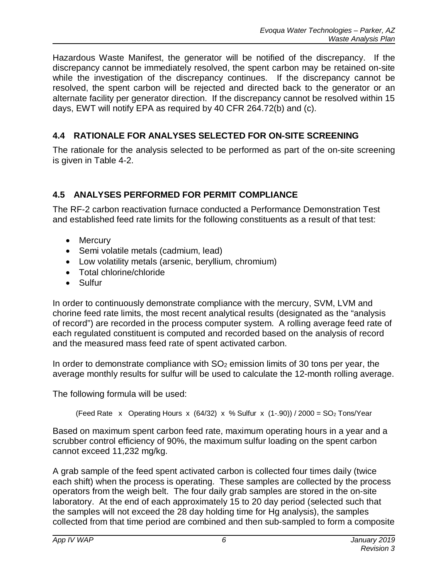Hazardous Waste Manifest, the generator will be notified of the discrepancy. If the discrepancy cannot be immediately resolved, the spent carbon may be retained on-site while the investigation of the discrepancy continues. If the discrepancy cannot be resolved, the spent carbon will be rejected and directed back to the generator or an alternate facility per generator direction. If the discrepancy cannot be resolved within 15 days, EWT will notify EPA as required by 40 CFR 264.72(b) and (c).

# **4.4 RATIONALE FOR ANALYSES SELECTED FOR ON-SITE SCREENING**

The rationale for the analysis selected to be performed as part of the on-site screening is given in Table 4-2.

# **4.5 ANALYSES PERFORMED FOR PERMIT COMPLIANCE**

The RF-2 carbon reactivation furnace conducted a Performance Demonstration Test and established feed rate limits for the following constituents as a result of that test:

- Mercury
- Semi volatile metals (cadmium, lead)
- · Low volatility metals (arsenic, beryllium, chromium)
- · Total chlorine/chloride
- · Sulfur

In order to continuously demonstrate compliance with the mercury, SVM, LVM and chorine feed rate limits, the most recent analytical results (designated as the "analysis of record") are recorded in the process computer system. A rolling average feed rate of each regulated constituent is computed and recorded based on the analysis of record and the measured mass feed rate of spent activated carbon.

In order to demonstrate compliance with  $SO<sub>2</sub>$  emission limits of 30 tons per year, the average monthly results for sulfur will be used to calculate the 12-month rolling average.

The following formula will be used:

(Feed Rate x Operating Hours x  $(64/32)$  x % Sulfur x  $(1-.90)$ ) / 2000 = SO<sub>2</sub> Tons/Year

Based on maximum spent carbon feed rate, maximum operating hours in a year and a scrubber control efficiency of 90%, the maximum sulfur loading on the spent carbon cannot exceed 11,232 mg/kg.

A grab sample of the feed spent activated carbon is collected four times daily (twice each shift) when the process is operating. These samples are collected by the process operators from the weigh belt. The four daily grab samples are stored in the on-site laboratory. At the end of each approximately 15 to 20 day period (selected such that the samples will not exceed the 28 day holding time for Hg analysis), the samples collected from that time period are combined and then sub-sampled to form a composite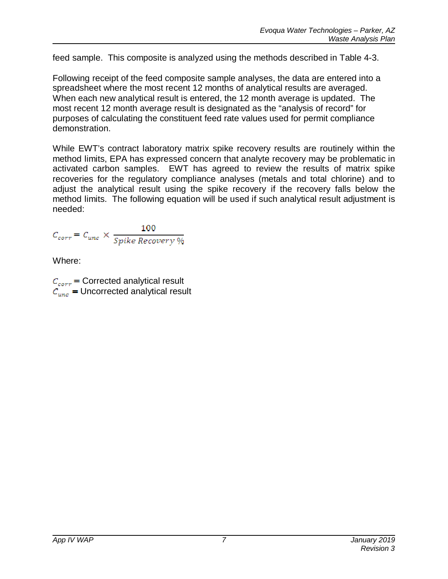feed sample. This composite is analyzed using the methods described in Table 4-3.

Following receipt of the feed composite sample analyses, the data are entered into a spreadsheet where the most recent 12 months of analytical results are averaged. When each new analytical result is entered, the 12 month average is updated. The most recent 12 month average result is designated as the "analysis of record" for purposes of calculating the constituent feed rate values used for permit compliance demonstration.

While EWT's contract laboratory matrix spike recovery results are routinely within the method limits, EPA has expressed concern that analyte recovery may be problematic in activated carbon samples. EWT has agreed to review the results of matrix spike recoveries for the regulatory compliance analyses (metals and total chlorine) and to adjust the analytical result using the spike recovery if the recovery falls below the method limits. The following equation will be used if such analytical result adjustment is needed:

$$
C_{corr} = C_{unc} \times \frac{100}{Spike\;Recovery\,\%
$$

Where:

 $C_{corr}$  = Corrected analytical result  $C_{unc}$  = Uncorrected analytical result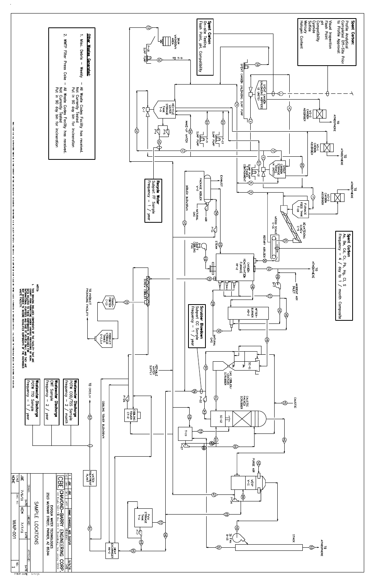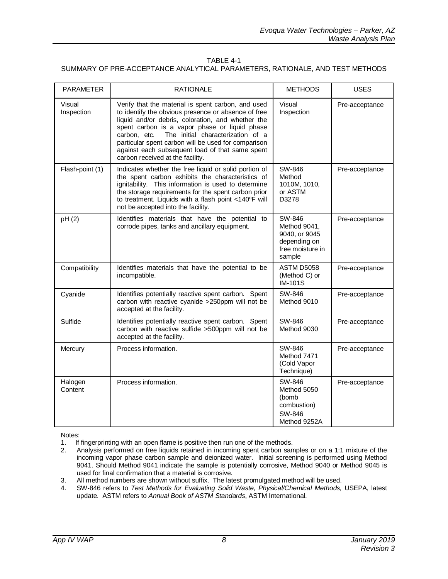### TABLE 4-1 SUMMARY OF PRE-ACCEPTANCE ANALYTICAL PARAMETERS, RATIONALE, AND TEST METHODS

| <b>PARAMETER</b>     | <b>RATIONALE</b>                                                                                                                                                                                                                                                                                                                                                                                                   | <b>METHODS</b>                                                                        | <b>USES</b>    |
|----------------------|--------------------------------------------------------------------------------------------------------------------------------------------------------------------------------------------------------------------------------------------------------------------------------------------------------------------------------------------------------------------------------------------------------------------|---------------------------------------------------------------------------------------|----------------|
| Visual<br>Inspection | Verify that the material is spent carbon, and used<br>to identify the obvious presence or absence of free<br>liquid and/or debris, coloration, and whether the<br>spent carbon is a vapor phase or liquid phase<br>The initial characterization of a<br>carbon, etc.<br>particular spent carbon will be used for comparison<br>against each subsequent load of that same spent<br>carbon received at the facility. | Visual<br>Inspection                                                                  | Pre-acceptance |
| Flash-point (1)      | Indicates whether the free liquid or solid portion of<br>the spent carbon exhibits the characteristics of<br>ignitability. This information is used to determine<br>the storage requirements for the spent carbon prior<br>to treatment. Liquids with a flash point <140°F will<br>not be accepted into the facility.                                                                                              | SW-846<br>Method<br>1010M, 1010,<br>or ASTM<br>D3278                                  | Pre-acceptance |
| pH(2)                | Identifies materials that have the potential to<br>corrode pipes, tanks and ancillary equipment.                                                                                                                                                                                                                                                                                                                   | SW-846<br>Method 9041,<br>9040, or 9045<br>depending on<br>free moisture in<br>sample | Pre-acceptance |
| Compatibility        | Identifies materials that have the potential to be<br>incompatible.                                                                                                                                                                                                                                                                                                                                                | ASTM D5058<br>(Method C) or<br><b>IM-101S</b>                                         | Pre-acceptance |
| Cyanide              | Identifies potentially reactive spent carbon. Spent<br>carbon with reactive cyanide >250ppm will not be<br>accepted at the facility.                                                                                                                                                                                                                                                                               | SW-846<br>Method 9010                                                                 | Pre-acceptance |
| Sulfide              | Identifies potentially reactive spent carbon. Spent<br>carbon with reactive sulfide >500ppm will not be<br>accepted at the facility.                                                                                                                                                                                                                                                                               | SW-846<br>Method 9030                                                                 | Pre-acceptance |
| Mercury              | Process information.                                                                                                                                                                                                                                                                                                                                                                                               | SW-846<br>Method 7471<br>(Cold Vapor<br>Technique)                                    | Pre-acceptance |
| Halogen<br>Content   | Process information.                                                                                                                                                                                                                                                                                                                                                                                               | SW-846<br>Method 5050<br>(bomb<br>combustion)<br>SW-846<br>Method 9252A               | Pre-acceptance |

Notes:

- 1. If fingerprinting with an open flame is positive then run one of the methods.<br>2. Analysis performed on free liquids retained in incoming spent carbon san
- Analysis performed on free liquids retained in incoming spent carbon samples or on a 1:1 mixture of the incoming vapor phase carbon sample and deionized water. Initial screening is performed using Method 9041. Should Method 9041 indicate the sample is potentially corrosive, Method 9040 or Method 9045 is used for final confirmation that a material is corrosive.
- 3. All method numbers are shown without suffix. The latest promulgated method will be used.
- 4. SW-846 refers to *Test Methods for Evaluating Solid Waste, Physical/Chemical Methods,* USEPA, latest update. ASTM refers to *Annual Book of ASTM Standards*, ASTM International.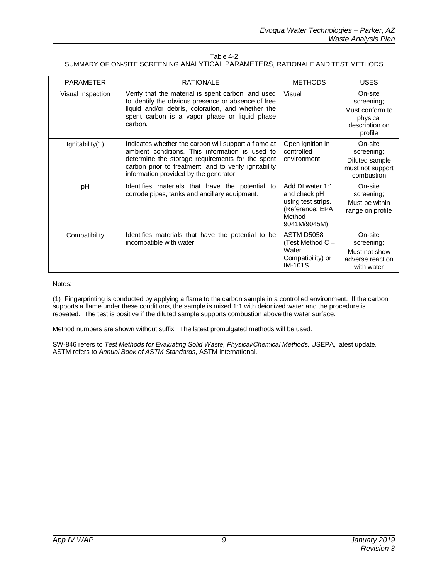| Table 4-2                                                                      |  |
|--------------------------------------------------------------------------------|--|
| SUMMARY OF ON-SITE SCREENING ANALYTICAL PARAMETERS. RATIONALE AND TEST METHODS |  |

| <b>PARAMETER</b>      | <b>RATIONALE</b>                                                                                                                                                                                                                                               | <b>METHODS</b>                                                                                      | <b>USES</b>                                                                       |
|-----------------------|----------------------------------------------------------------------------------------------------------------------------------------------------------------------------------------------------------------------------------------------------------------|-----------------------------------------------------------------------------------------------------|-----------------------------------------------------------------------------------|
| Visual Inspection     | Verify that the material is spent carbon, and used<br>to identify the obvious presence or absence of free<br>liquid and/or debris, coloration, and whether the<br>spent carbon is a vapor phase or liquid phase<br>carbon.                                     | Visual                                                                                              | On-site<br>screening;<br>Must conform to<br>physical<br>description on<br>profile |
| $I$ gnitability $(1)$ | Indicates whether the carbon will support a flame at<br>ambient conditions. This information is used to<br>determine the storage requirements for the spent<br>carbon prior to treatment, and to verify ignitability<br>information provided by the generator. | Open ignition in<br>controlled<br>environment                                                       | On-site<br>screening;<br>Diluted sample<br>must not support<br>combustion         |
| pH                    | Identifies materials that have the potential to<br>corrode pipes, tanks and ancillary equipment.                                                                                                                                                               | Add DI water 1:1<br>and check pH<br>using test strips.<br>(Reference: EPA<br>Method<br>9041M/9045M) | On-site<br>screening;<br>Must be within<br>range on profile                       |
| Compatibility         | Identifies materials that have the potential to be<br>incompatible with water.                                                                                                                                                                                 | <b>ASTM D5058</b><br>(Test Method C -<br>Water<br>Compatibility) or<br><b>IM-101S</b>               | On-site<br>screening;<br>Must not show<br>adverse reaction<br>with water          |

Notes:

(1) Fingerprinting is conducted by applying a flame to the carbon sample in a controlled environment. If the carbon supports a flame under these conditions, the sample is mixed 1:1 with deionized water and the procedure is repeated. The test is positive if the diluted sample supports combustion above the water surface.

Method numbers are shown without suffix. The latest promulgated methods will be used.

SW-846 refers to *Test Methods for Evaluating Solid Waste, Physical/Chemical Methods,* USEPA, latest update. ASTM refers to *Annual Book of ASTM Standards*, ASTM International.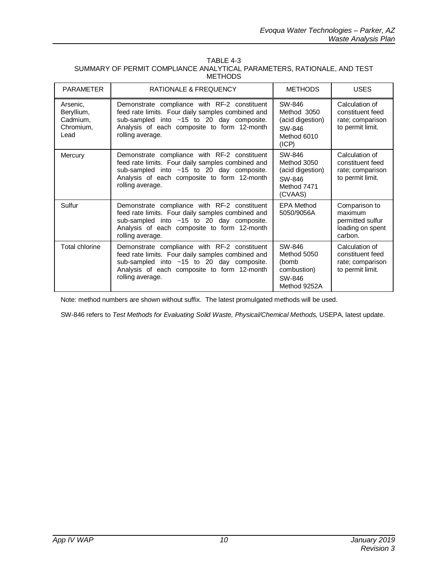| TABLE 4-3                                                               |
|-------------------------------------------------------------------------|
| SUMMARY OF PERMIT COMPLIANCE ANALYTICAL PARAMETERS. RATIONALE, AND TEST |
| <b>METHODS</b>                                                          |

| <b>PARAMETER</b>                                        | <b>RATIONALE &amp; FREQUENCY</b>                                                                                                                                                                                    | <b>METHODS</b>                                                                | <b>USES</b>                                                                 |
|---------------------------------------------------------|---------------------------------------------------------------------------------------------------------------------------------------------------------------------------------------------------------------------|-------------------------------------------------------------------------------|-----------------------------------------------------------------------------|
| Arsenic,<br>Beryllium,<br>Cadmium,<br>Chromium,<br>Lead | Demonstrate compliance with RF-2 constituent<br>feed rate limits. Four daily samples combined and<br>sub-sampled into $~15$ to 20 day composite.<br>Analysis of each composite to form 12-month<br>rolling average. | SW-846<br>Method 3050<br>(acid digestion)<br>SW-846<br>Method 6010<br>(ICP)   | Calculation of<br>constituent feed<br>rate; comparison<br>to permit limit.  |
| Mercury                                                 | Demonstrate compliance with RF-2 constituent<br>feed rate limits. Four daily samples combined and<br>sub-sampled into ~15 to 20 day composite.<br>Analysis of each composite to form 12-month<br>rolling average.   | SW-846<br>Method 3050<br>(acid digestion)<br>SW-846<br>Method 7471<br>(CVAAS) | Calculation of<br>constituent feed<br>rate; comparison<br>to permit limit.  |
| Sulfur                                                  | Demonstrate compliance with RF-2 constituent<br>feed rate limits. Four daily samples combined and<br>sub-sampled into $~15$ to 20 day composite.<br>Analysis of each composite to form 12-month<br>rolling average. | <b>EPA Method</b><br>5050/9056A                                               | Comparison to<br>maximum<br>permitted sulfur<br>loading on spent<br>carbon. |
| Total chlorine                                          | Demonstrate compliance with RF-2 constituent<br>feed rate limits. Four daily samples combined and<br>sub-sampled into $~15$ to 20 day composite.<br>Analysis of each composite to form 12-month<br>rolling average. | SW-846<br>Method 5050<br>(bomb<br>combustion)<br>SW-846<br>Method 9252A       | Calculation of<br>constituent feed<br>rate; comparison<br>to permit limit.  |

Note: method numbers are shown without suffix. The latest promulgated methods will be used.

SW-846 refers to *Test Methods for Evaluating Solid Waste, Physical/Chemical Methods,* USEPA, latest update.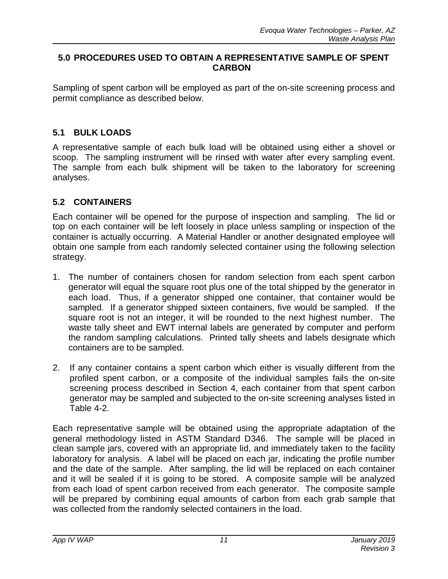### **5.0 PROCEDURES USED TO OBTAIN A REPRESENTATIVE SAMPLE OF SPENT CARBON**

Sampling of spent carbon will be employed as part of the on-site screening process and permit compliance as described below.

### **5.1 BULK LOADS**

A representative sample of each bulk load will be obtained using either a shovel or scoop. The sampling instrument will be rinsed with water after every sampling event. The sample from each bulk shipment will be taken to the laboratory for screening analyses.

# **5.2 CONTAINERS**

Each container will be opened for the purpose of inspection and sampling. The lid or top on each container will be left loosely in place unless sampling or inspection of the container is actually occurring. A Material Handler or another designated employee will obtain one sample from each randomly selected container using the following selection strategy.

- 1. The number of containers chosen for random selection from each spent carbon generator will equal the square root plus one of the total shipped by the generator in each load. Thus, if a generator shipped one container, that container would be sampled. If a generator shipped sixteen containers, five would be sampled. If the square root is not an integer, it will be rounded to the next highest number. The waste tally sheet and EWT internal labels are generated by computer and perform the random sampling calculations. Printed tally sheets and labels designate which containers are to be sampled.
- 2. If any container contains a spent carbon which either is visually different from the profiled spent carbon, or a composite of the individual samples fails the on-site screening process described in Section 4, each container from that spent carbon generator may be sampled and subjected to the on-site screening analyses listed in Table 4-2.

Each representative sample will be obtained using the appropriate adaptation of the general methodology listed in ASTM Standard D346. The sample will be placed in clean sample jars, covered with an appropriate lid, and immediately taken to the facility laboratory for analysis. A label will be placed on each jar, indicating the profile number and the date of the sample. After sampling, the lid will be replaced on each container and it will be sealed if it is going to be stored. A composite sample will be analyzed from each load of spent carbon received from each generator. The composite sample will be prepared by combining equal amounts of carbon from each grab sample that was collected from the randomly selected containers in the load.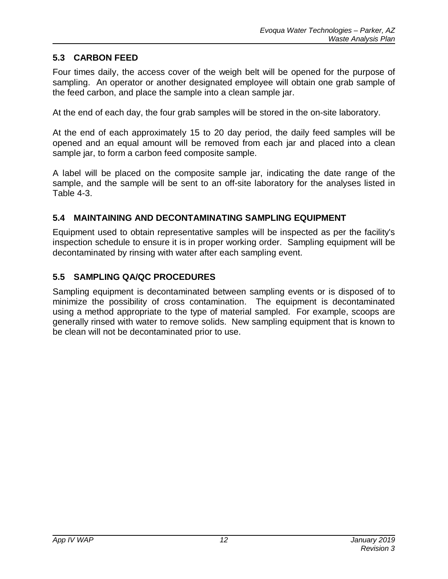### **5.3 CARBON FEED**

Four times daily, the access cover of the weigh belt will be opened for the purpose of sampling. An operator or another designated employee will obtain one grab sample of the feed carbon, and place the sample into a clean sample jar.

At the end of each day, the four grab samples will be stored in the on-site laboratory.

At the end of each approximately 15 to 20 day period, the daily feed samples will be opened and an equal amount will be removed from each jar and placed into a clean sample jar, to form a carbon feed composite sample.

A label will be placed on the composite sample jar, indicating the date range of the sample, and the sample will be sent to an off-site laboratory for the analyses listed in Table 4-3.

### **5.4 MAINTAINING AND DECONTAMINATING SAMPLING EQUIPMENT**

Equipment used to obtain representative samples will be inspected as per the facility's inspection schedule to ensure it is in proper working order. Sampling equipment will be decontaminated by rinsing with water after each sampling event.

### **5.5 SAMPLING QA/QC PROCEDURES**

Sampling equipment is decontaminated between sampling events or is disposed of to minimize the possibility of cross contamination. The equipment is decontaminated using a method appropriate to the type of material sampled. For example, scoops are generally rinsed with water to remove solids. New sampling equipment that is known to be clean will not be decontaminated prior to use.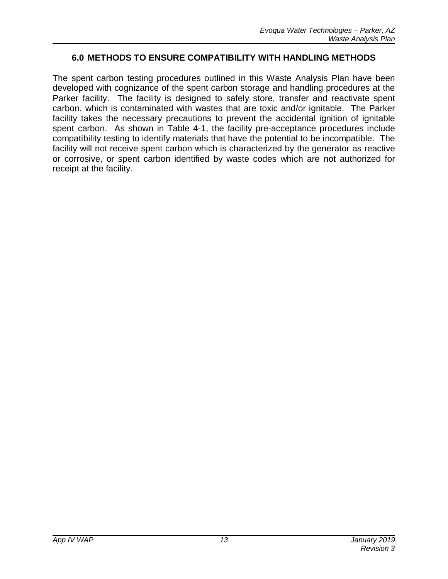### **6.0 METHODS TO ENSURE COMPATIBILITY WITH HANDLING METHODS**

The spent carbon testing procedures outlined in this Waste Analysis Plan have been developed with cognizance of the spent carbon storage and handling procedures at the Parker facility. The facility is designed to safely store, transfer and reactivate spent carbon, which is contaminated with wastes that are toxic and/or ignitable. The Parker facility takes the necessary precautions to prevent the accidental ignition of ignitable spent carbon. As shown in Table 4-1, the facility pre-acceptance procedures include compatibility testing to identify materials that have the potential to be incompatible. The facility will not receive spent carbon which is characterized by the generator as reactive or corrosive, or spent carbon identified by waste codes which are not authorized for receipt at the facility.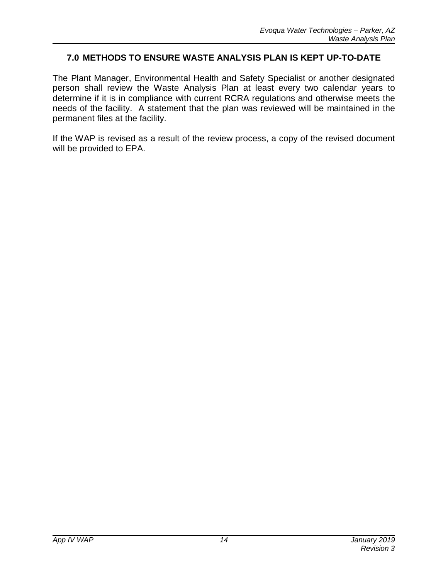### **7.0 METHODS TO ENSURE WASTE ANALYSIS PLAN IS KEPT UP-TO-DATE**

The Plant Manager, Environmental Health and Safety Specialist or another designated person shall review the Waste Analysis Plan at least every two calendar years to determine if it is in compliance with current RCRA regulations and otherwise meets the needs of the facility. A statement that the plan was reviewed will be maintained in the permanent files at the facility.

If the WAP is revised as a result of the review process, a copy of the revised document will be provided to EPA.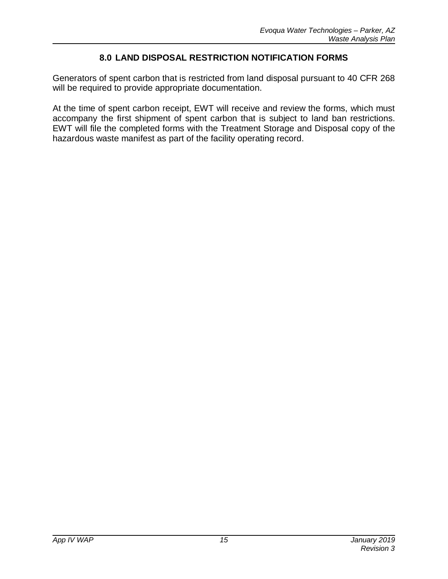### **8.0 LAND DISPOSAL RESTRICTION NOTIFICATION FORMS**

Generators of spent carbon that is restricted from land disposal pursuant to 40 CFR 268 will be required to provide appropriate documentation.

At the time of spent carbon receipt, EWT will receive and review the forms, which must accompany the first shipment of spent carbon that is subject to land ban restrictions. EWT will file the completed forms with the Treatment Storage and Disposal copy of the hazardous waste manifest as part of the facility operating record.